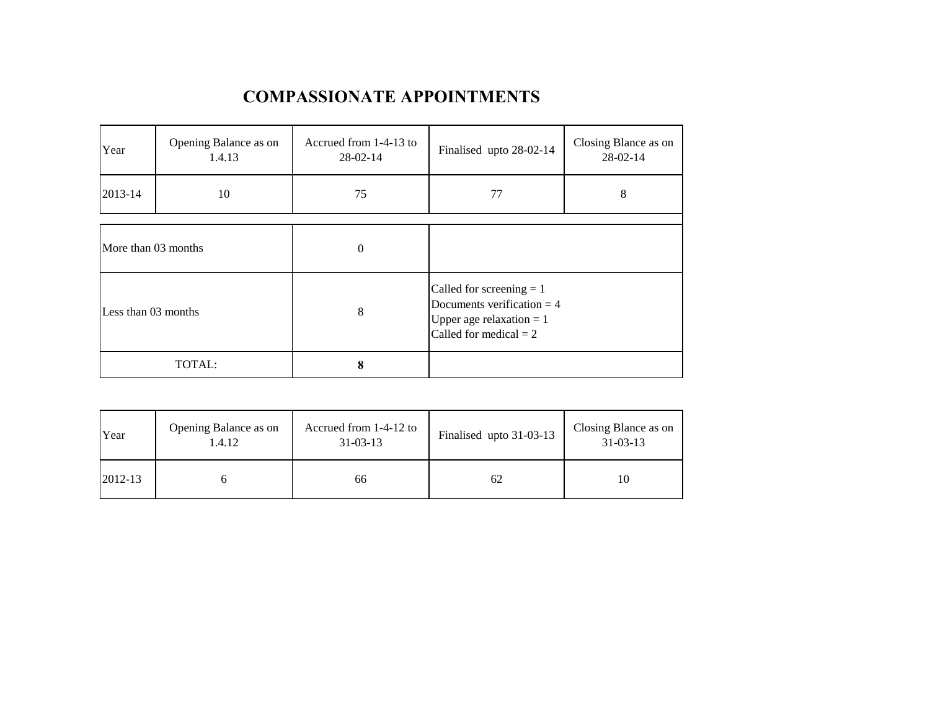## **COMPASSIONATE APPOINTMENTS**

| Year                | Opening Balance as on<br>1.4.13 | Accrued from 1-4-13 to<br>$28 - 02 - 14$ | Finalised upto 28-02-14                                                                                              | Closing Blance as on<br>28-02-14 |  |
|---------------------|---------------------------------|------------------------------------------|----------------------------------------------------------------------------------------------------------------------|----------------------------------|--|
| 2013-14             | 10                              | 75                                       | 77                                                                                                                   | 8                                |  |
|                     |                                 |                                          |                                                                                                                      |                                  |  |
| More than 03 months |                                 | $\mathbf{0}$                             |                                                                                                                      |                                  |  |
| Less than 03 months |                                 | 8                                        | Called for screening $= 1$<br>Documents verification $=$ 4<br>Upper age relaxation $= 1$<br>Called for medical $= 2$ |                                  |  |
| TOTAL:              |                                 | 8                                        |                                                                                                                      |                                  |  |

| Year    | Opening Balance as on<br>1.4.12 | Accrued from 1-4-12 to<br>$31 - 03 - 13$ | Finalised upto 31-03-13 | Closing Blance as on<br>$31 - 03 - 13$ |
|---------|---------------------------------|------------------------------------------|-------------------------|----------------------------------------|
| 2012-13 |                                 | 66                                       | 62                      |                                        |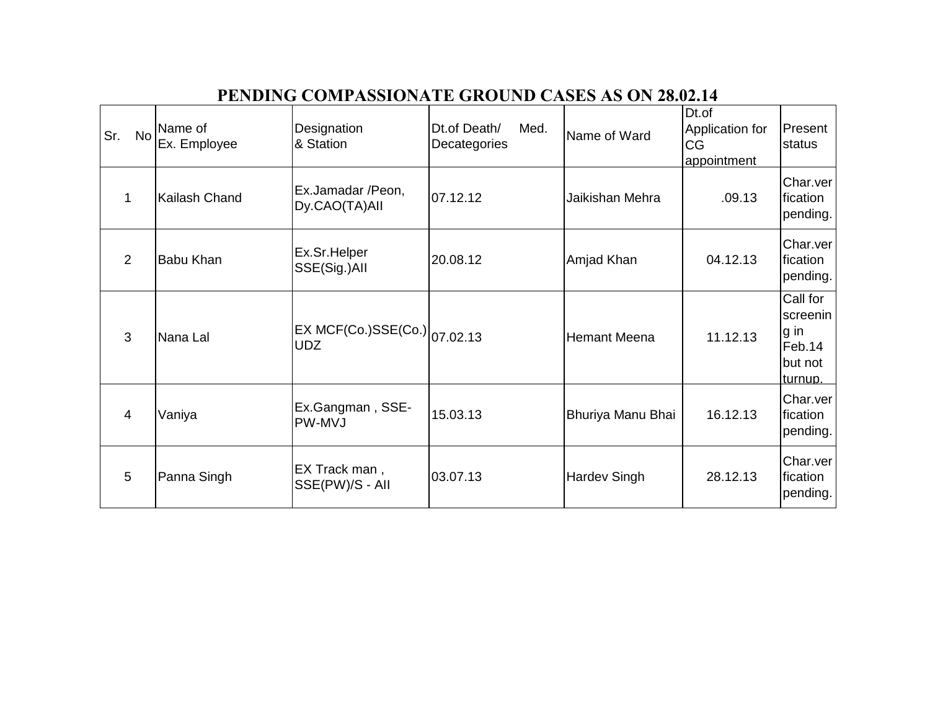| Sr.<br><b>No</b> | Name of<br>Ex. Employee | Designation<br>& Station                        | Dt.of Death/<br>Med.<br>Decategories | Name of Ward        | Dt.of<br>Application for<br>CG<br>appointment | Present<br>status                                            |
|------------------|-------------------------|-------------------------------------------------|--------------------------------------|---------------------|-----------------------------------------------|--------------------------------------------------------------|
|                  | Kailash Chand           | Ex.Jamadar /Peon,<br>Dy.CAO(TA)All              | 07.12.12                             | Jaikishan Mehra     | .09.13                                        | Char.ver<br>fication<br>pending.                             |
| 2                | <b>Babu Khan</b>        | Ex.Sr.Helper<br>SSE(Sig.)All                    | 20.08.12                             | Amjad Khan          | 04.12.13                                      | Char.ver<br>fication<br>pending.                             |
| 3                | Nana Lal                | $ EXMCF(Co.)SSE(Co.) _{07.02.13}$<br><b>UDZ</b> |                                      | <b>Hemant Meena</b> | 11.12.13                                      | Call for<br>screenin<br>g in<br>Feb.14<br>but not<br>turnup. |
| $\overline{4}$   | Vaniya                  | Ex.Gangman, SSE-<br>PW-MVJ                      | 15.03.13                             | Bhuriya Manu Bhai   | 16.12.13                                      | Char.ver<br>fication<br>pending.                             |
| 5                | Panna Singh             | EX Track man,<br>SSE(PW)/S - All                | 03.07.13                             | <b>Hardev Singh</b> | 28.12.13                                      | Char.ver<br>fication<br>pending.                             |

## **PENDING COMPASSIONATE GROUND CASES AS ON 28.02.14**